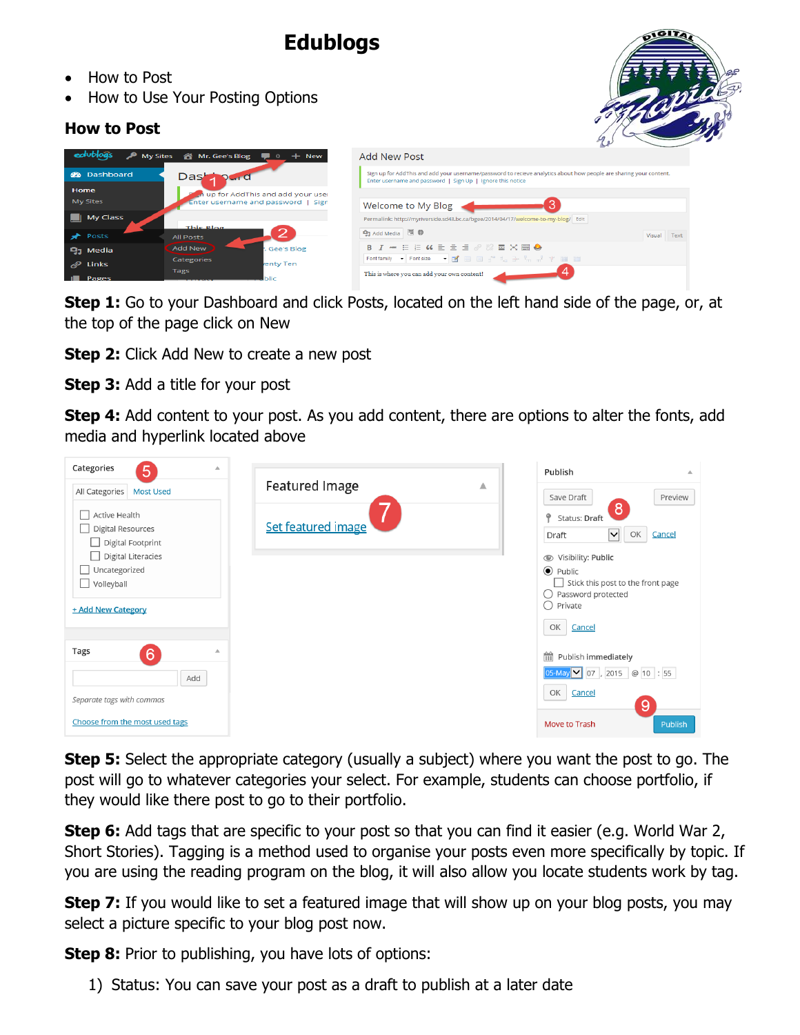# **Edublogs**

- How to Post
- How to Use Your Posting Options

## **How to Post**



| edublogs             | A My Sites & Mr. Gee's Blog ■ 0 + New | Add New Post                                                                                                                                                                     |                |
|----------------------|---------------------------------------|----------------------------------------------------------------------------------------------------------------------------------------------------------------------------------|----------------|
| <b>2</b> Dashboard   | Dast                                  | Sign up for AddThis and add your username/password to recieve analytics about how people are sharing your content.<br>Enter username and password   Sign Up   Ignore this notice |                |
| <b>Home</b>          | an up for AddThis and add your user   |                                                                                                                                                                                  |                |
| <b>My Sites</b>      | Enter username and password   Sign    | Welcome to My Blog                                                                                                                                                               |                |
| My Class             |                                       | Permalink: http://myriverside.sd43.bc.ca/bgee/2014/04/17/welcome-to-my-blog/ Edit                                                                                                |                |
|                      | This Blog                             |                                                                                                                                                                                  |                |
| $\bigstar$ Posts     | <b>All Posts</b>                      | 91 Add Media 图 <b>B</b>                                                                                                                                                          | Text<br>Visual |
| $\mathbf{Q}_1$ Media | Add New<br>Gee's Blog                 | <b>B J ※ 日日 G 日 三 三 @ ※ 国 X 圖 ◆</b>                                                                                                                                              |                |
|                      | <b>Categories</b>                     | Fontfamily ▼ Fontsize ▼ 國 田 国 ゴ = ヨ テ "m m" 平 画 田                                                                                                                                |                |
| $\mathscr{P}$ Links  | enty Ten                              |                                                                                                                                                                                  |                |
| Pages                | Tags                                  | This is where you can add your own content!                                                                                                                                      |                |
|                      | blic                                  |                                                                                                                                                                                  |                |

**Step 1:** Go to your Dashboard and click Posts, located on the left hand side of the page, or, at the top of the page click on New

**Step 2:** Click Add New to create a new post

**Step 3:** Add a title for your post

**Step 4:** Add content to your post. As you add content, there are options to alter the fonts, add media and hyperlink located above

| Categories<br>5                                                |                       |   | Publish<br>Δ                                                                          |
|----------------------------------------------------------------|-----------------------|---|---------------------------------------------------------------------------------------|
| All Categories<br><b>Most Used</b>                             | <b>Featured Image</b> | ▲ | Preview<br>Save Draft                                                                 |
| Active Health<br><b>Digital Resources</b><br>Digital Footprint | Set featured image    |   | 8<br>۰<br>Status: Draft<br>OK<br>Cancel<br>$\left \blacktriangledown\right $<br>Draft |
| <b>Digital Literacies</b>                                      |                       |   | Visibility: Public                                                                    |
| Uncategorized<br>$\perp$<br>$\Box$ Volleyball                  |                       |   | $\odot$ Public<br>Stick this post to the front page<br>Password protected<br>O        |
| + Add New Category                                             |                       |   | ∩<br>Private                                                                          |
|                                                                |                       |   | OK<br>Cancel                                                                          |
| <b>Tags</b><br>$6\overline{6}$<br>$\Delta$                     |                       |   | 兽<br>Publish immediately                                                              |
| Add                                                            |                       |   | 05-May 107, 2015 @ 10 : 55                                                            |
| Separate tags with commas                                      |                       |   | OK<br>Cancel<br>9                                                                     |
| Choose from the most used tags                                 |                       |   | Publish<br>Move to Trash                                                              |

**Step 5:** Select the appropriate category (usually a subject) where you want the post to go. The post will go to whatever categories your select. For example, students can choose portfolio, if they would like there post to go to their portfolio.

**Step 6:** Add tags that are specific to your post so that you can find it easier (e.g. World War 2, Short Stories). Tagging is a method used to organise your posts even more specifically by topic. If you are using the reading program on the blog, it will also allow you locate students work by tag.

**Step 7:** If you would like to set a featured image that will show up on your blog posts, you may select a picture specific to your blog post now.

**Step 8:** Prior to publishing, you have lots of options:

1) Status: You can save your post as a draft to publish at a later date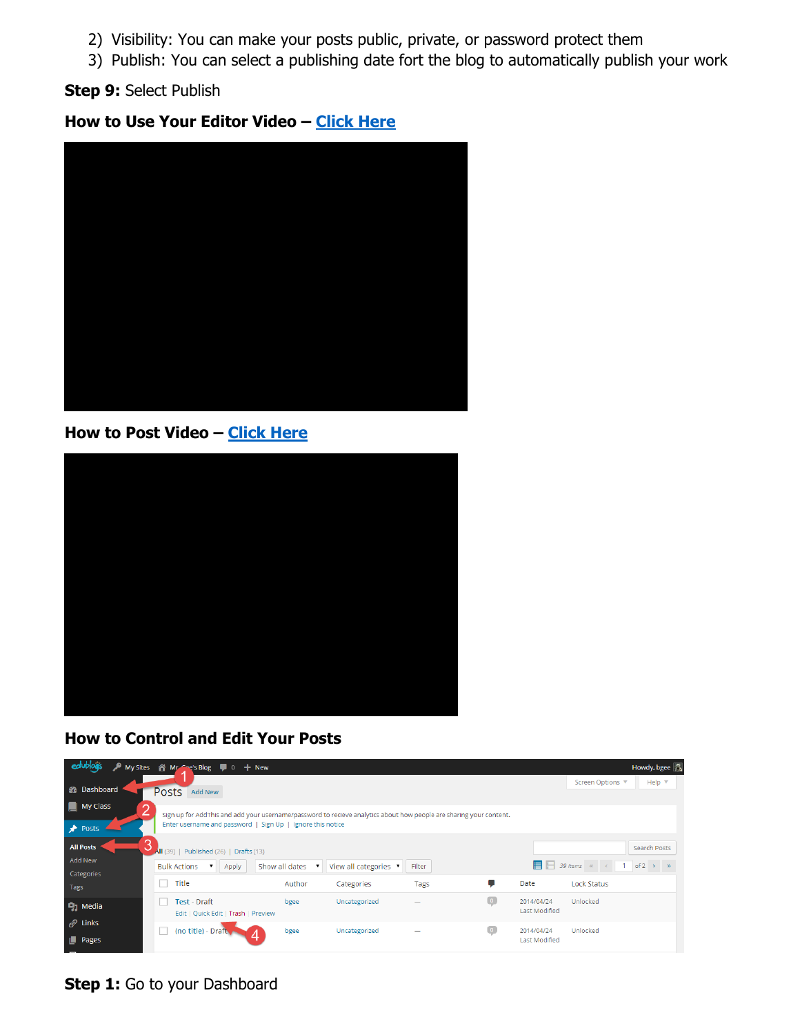- 2) Visibility: You can make your posts public, private, or password protect them
- 3) Publish: You can select a publishing date fort the blog to automatically publish your work

#### **Step 9:** Select Publish

### **How to Use Your Editor Video – [Click Here](https://youtu.be/SCHBfd43E6o?list=PLq4p3q2fmMYUEmhjXh-KlbrFI2U57lWcD)**



#### **How to Post Video – [Click Here](https://youtu.be/DdptqEFBseM?list=PLq4p3q2fmMYUEmhjXh-KlbrFI2U57lWcD)**



### **How to Control and Edit Your Posts**

| э<br>edup                                                                                                                                                                                                                                    | My Sites 《 Mr. Coe's Blog ■ 0 + New                                                      |                                                                      |                      |                                    | Howdy, bgee                                                                               |  |  |  |
|----------------------------------------------------------------------------------------------------------------------------------------------------------------------------------------------------------------------------------------------|------------------------------------------------------------------------------------------|----------------------------------------------------------------------|----------------------|------------------------------------|-------------------------------------------------------------------------------------------|--|--|--|
| <b>&amp;</b> Dashboard                                                                                                                                                                                                                       | <b>Posts</b><br><b>Add New</b>                                                           |                                                                      |                      |                                    | Help $\triangledown$<br>Screen Options ▼                                                  |  |  |  |
| $\Box$ My Class<br>$\overline{2}$<br>Sign up for AddThis and add your username/password to recieve analytics about how people are sharing your content.<br>Enter username and password   Sign Up   Ignore this notice<br>$\rightarrow$ Posts |                                                                                          |                                                                      |                      |                                    |                                                                                           |  |  |  |
| <b>All Posts</b><br><b>Add New</b><br>Categories                                                                                                                                                                                             | All (39)<br>Published (26)   Drafts (13)<br><b>Bulk Actions</b><br>$\mathbf{v}$<br>Apply | Show all dates<br>View all categories ▼<br>$\boldsymbol{\mathsf{v}}$ | Filter               |                                    | <b>Search Posts</b><br>$\Box$ 39 items « <<br>of $2 \rightarrow \infty$<br>$\overline{1}$ |  |  |  |
| Tags                                                                                                                                                                                                                                         | Title                                                                                    | Author<br>Categories                                                 | Tags                 | Date                               | <b>Lock Status</b>                                                                        |  |  |  |
| $\mathbf{Q}_1$ Media                                                                                                                                                                                                                         | <b>Test - Draft</b><br>Edit   Quick Edit   Trash   Preview                               | bgee<br>Uncategorized                                                | $\overline{\bullet}$ | 2014/04/24<br><b>Last Modified</b> | Unlocked                                                                                  |  |  |  |
| $\mathscr{O}$ Links<br><b>Pages</b>                                                                                                                                                                                                          | (no title) - Draft                                                                       | bgee<br>Uncategorized                                                | $\bullet$            | 2014/04/24<br><b>Last Modified</b> | Unlocked                                                                                  |  |  |  |

**Step 1:** Go to your Dashboard